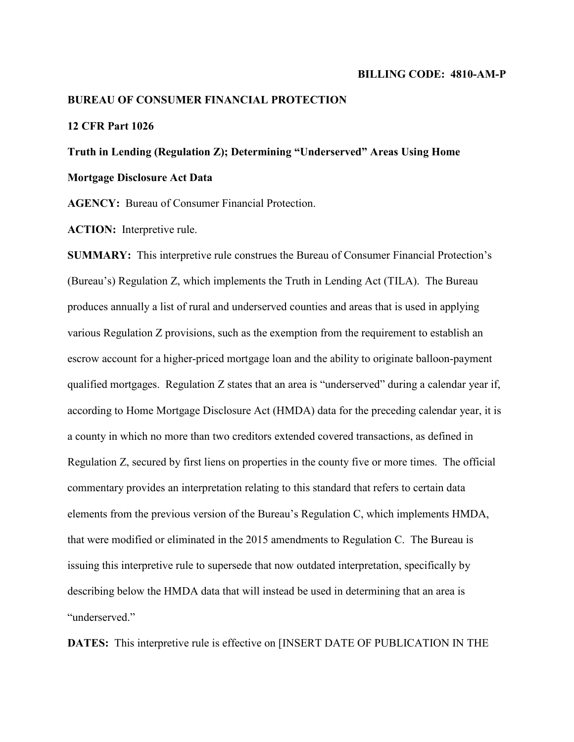#### **BILLING CODE: 4810-AM-P**

#### **BUREAU OF CONSUMER FINANCIAL PROTECTION**

### **12 CFR Part 1026**

# **Truth in Lending (Regulation Z); Determining "Underserved" Areas Using Home Mortgage Disclosure Act Data**

**AGENCY:** Bureau of Consumer Financial Protection.

**ACTION:** Interpretive rule.

**SUMMARY:** This interpretive rule construes the Bureau of Consumer Financial Protection's (Bureau's) Regulation Z, which implements the Truth in Lending Act (TILA). The Bureau produces annually a list of rural and underserved counties and areas that is used in applying various Regulation Z provisions, such as the exemption from the requirement to establish an escrow account for a higher-priced mortgage loan and the ability to originate balloon-payment qualified mortgages. Regulation Z states that an area is "underserved" during a calendar year if, according to Home Mortgage Disclosure Act (HMDA) data for the preceding calendar year, it is a county in which no more than two creditors extended covered transactions, as defined in Regulation Z, secured by first liens on properties in the county five or more times. The official commentary provides an interpretation relating to this standard that refers to certain data elements from the previous version of the Bureau's Regulation C, which implements HMDA, that were modified or eliminated in the 2015 amendments to Regulation C. The Bureau is issuing this interpretive rule to supersede that now outdated interpretation, specifically by describing below the HMDA data that will instead be used in determining that an area is "underserved."

**DATES:** This interpretive rule is effective on [INSERT DATE OF PUBLICATION IN THE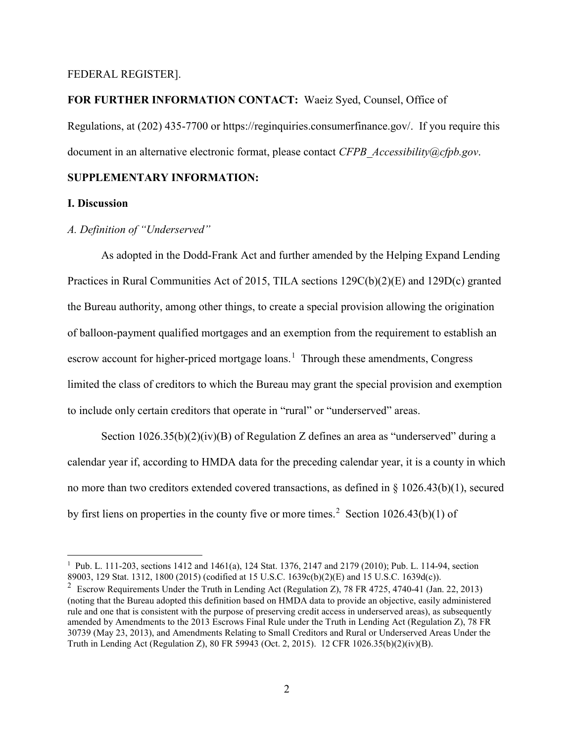### FEDERAL REGISTER].

#### **FOR FURTHER INFORMATION CONTACT:** Waeiz Syed, Counsel, Office of

Regulations, at (202) 435-7700 or https://reginquiries.consumerfinance.gov/. If you require this document in an alternative electronic format, please contact *CFPB\_Accessibility@cfpb.gov*.

# **SUPPLEMENTARY INFORMATION:**

#### **I. Discussion**

# *A. Definition of "Underserved"*

As adopted in the Dodd-Frank Act and further amended by the Helping Expand Lending Practices in Rural Communities Act of 2015, TILA sections 129C(b)(2)(E) and 129D(c) granted the Bureau authority, among other things, to create a special provision allowing the origination of balloon-payment qualified mortgages and an exemption from the requirement to establish an escrow account for higher-priced mortgage loans.<sup>[1](#page-1-0)</sup> Through these amendments, Congress limited the class of creditors to which the Bureau may grant the special provision and exemption to include only certain creditors that operate in "rural" or "underserved" areas.

Section 1026.35(b)(2)(iv)(B) of Regulation Z defines an area as "underserved" during a calendar year if, according to HMDA data for the preceding calendar year, it is a county in which no more than two creditors extended covered transactions, as defined in § 1026.43(b)(1), secured by first liens on properties in the county five or more times.<sup>[2](#page-1-1)</sup> Section 1026.43(b)(1) of

<span id="page-1-0"></span><sup>&</sup>lt;sup>1</sup> Pub. L. 111-203, sections 1412 and 1461(a), 124 Stat. 1376, 2147 and 2179 (2010); Pub. L. 114-94, section 89003, 129 Stat. 1312, 1800 (2015) (codified at 15 U.S.C. 1639c(b)(2)(E) and 15 U.S.C. 1639d(c)).

<span id="page-1-1"></span><sup>&</sup>lt;sup>2</sup> Escrow Requirements Under the Truth in Lending Act (Regulation Z), 78 FR 4725, 4740-41 (Jan. 22, 2013) (noting that the Bureau adopted this definition based on HMDA data to provide an objective, easily administered rule and one that is consistent with the purpose of preserving credit access in underserved areas), as subsequently amended by Amendments to the 2013 Escrows Final Rule under the Truth in Lending Act (Regulation Z), 78 FR 30739 (May 23, 2013), and Amendments Relating to Small Creditors and Rural or Underserved Areas Under the Truth in Lending Act (Regulation Z), 80 FR 59943 (Oct. 2, 2015). 12 CFR 1026.35(b)(2)(iv)(B).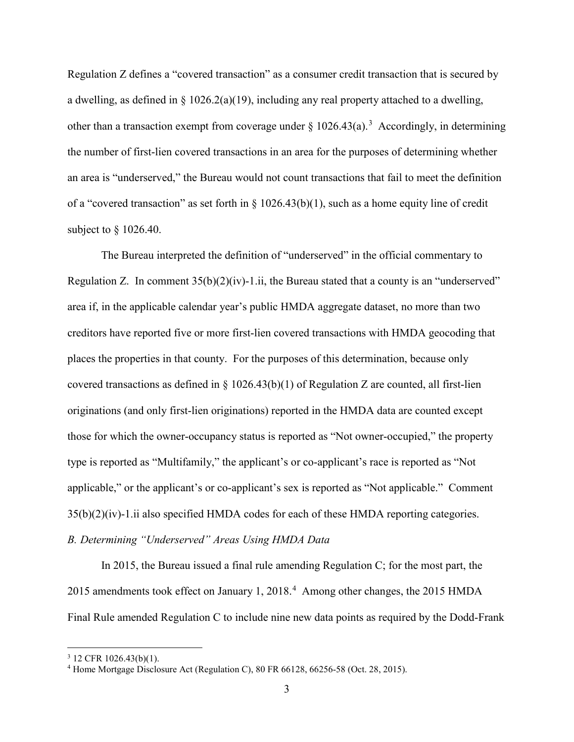Regulation Z defines a "covered transaction" as a consumer credit transaction that is secured by a dwelling, as defined in  $\S 1026.2(a)(19)$ , including any real property attached to a dwelling, other than a transaction exempt from coverage under  $\S 1026.43(a).$  $\S 1026.43(a).$  $\S 1026.43(a).$ <sup>3</sup> Accordingly, in determining the number of first-lien covered transactions in an area for the purposes of determining whether an area is "underserved," the Bureau would not count transactions that fail to meet the definition of a "covered transaction" as set forth in § 1026.43(b)(1), such as a home equity line of credit subject to § 1026.40.

The Bureau interpreted the definition of "underserved" in the official commentary to Regulation Z. In comment  $35(b)(2)(iv)$ -1.ii, the Bureau stated that a county is an "underserved" area if, in the applicable calendar year's public HMDA aggregate dataset, no more than two creditors have reported five or more first-lien covered transactions with HMDA geocoding that places the properties in that county. For the purposes of this determination, because only covered transactions as defined in § 1026.43(b)(1) of Regulation Z are counted, all first-lien originations (and only first-lien originations) reported in the HMDA data are counted except those for which the owner-occupancy status is reported as "Not owner-occupied," the property type is reported as "Multifamily," the applicant's or co-applicant's race is reported as "Not applicable," or the applicant's or co-applicant's sex is reported as "Not applicable." Comment 35(b)(2)(iv)-1.ii also specified HMDA codes for each of these HMDA reporting categories. *B. Determining "Underserved" Areas Using HMDA Data*

In 2015, the Bureau issued a final rule amending Regulation C; for the most part, the 2015 amendments took effect on January 1, 2018. [4](#page-2-1) Among other changes, the 2015 HMDA Final Rule amended Regulation C to include nine new data points as required by the Dodd-Frank

<span id="page-2-0"></span> $3$  12 CFR 1026.43(b)(1).

<span id="page-2-1"></span><sup>4</sup> Home Mortgage Disclosure Act (Regulation C), 80 FR 66128, 66256-58 (Oct. 28, 2015).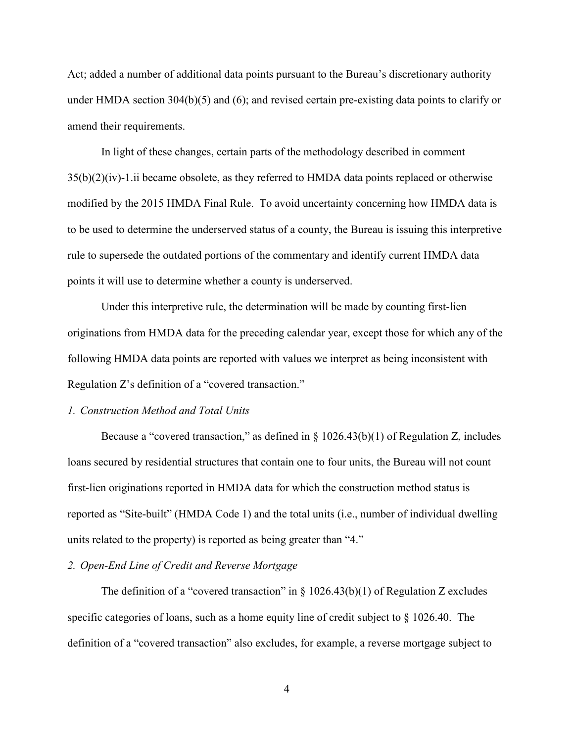Act; added a number of additional data points pursuant to the Bureau's discretionary authority under HMDA section 304(b)(5) and (6); and revised certain pre-existing data points to clarify or amend their requirements.

In light of these changes, certain parts of the methodology described in comment 35(b)(2)(iv)-1.ii became obsolete, as they referred to HMDA data points replaced or otherwise modified by the 2015 HMDA Final Rule. To avoid uncertainty concerning how HMDA data is to be used to determine the underserved status of a county, the Bureau is issuing this interpretive rule to supersede the outdated portions of the commentary and identify current HMDA data points it will use to determine whether a county is underserved.

Under this interpretive rule, the determination will be made by counting first-lien originations from HMDA data for the preceding calendar year, except those for which any of the following HMDA data points are reported with values we interpret as being inconsistent with Regulation Z's definition of a "covered transaction."

#### *1. Construction Method and Total Units*

Because a "covered transaction," as defined in  $\S 1026.43(b)(1)$  of Regulation Z, includes loans secured by residential structures that contain one to four units, the Bureau will not count first-lien originations reported in HMDA data for which the construction method status is reported as "Site-built" (HMDA Code 1) and the total units (i.e., number of individual dwelling units related to the property) is reported as being greater than "4."

## *2. Open-End Line of Credit and Reverse Mortgage*

The definition of a "covered transaction" in  $\S$  1026.43(b)(1) of Regulation Z excludes specific categories of loans, such as a home equity line of credit subject to § 1026.40. The definition of a "covered transaction" also excludes, for example, a reverse mortgage subject to

4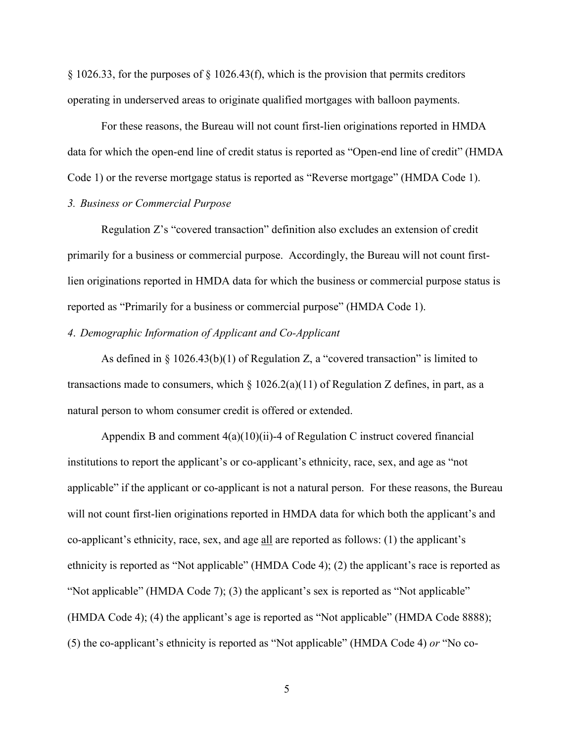§ 1026.33, for the purposes of § 1026.43(f), which is the provision that permits creditors operating in underserved areas to originate qualified mortgages with balloon payments.

For these reasons, the Bureau will not count first-lien originations reported in HMDA data for which the open-end line of credit status is reported as "Open-end line of credit" (HMDA Code 1) or the reverse mortgage status is reported as "Reverse mortgage" (HMDA Code 1).

## *3. Business or Commercial Purpose*

Regulation Z's "covered transaction" definition also excludes an extension of credit primarily for a business or commercial purpose. Accordingly, the Bureau will not count firstlien originations reported in HMDA data for which the business or commercial purpose status is reported as "Primarily for a business or commercial purpose" (HMDA Code 1).

#### *4*. *Demographic Information of Applicant and Co-Applicant*

As defined in  $\S 1026.43(b)(1)$  of Regulation Z, a "covered transaction" is limited to transactions made to consumers, which  $\S 1026.2(a)(11)$  of Regulation Z defines, in part, as a natural person to whom consumer credit is offered or extended.

Appendix B and comment  $4(a)(10)(ii)$ -4 of Regulation C instruct covered financial institutions to report the applicant's or co-applicant's ethnicity, race, sex, and age as "not applicable" if the applicant or co-applicant is not a natural person. For these reasons, the Bureau will not count first-lien originations reported in HMDA data for which both the applicant's and co-applicant's ethnicity, race, sex, and age **all** are reported as follows: (1) the applicant's ethnicity is reported as "Not applicable" (HMDA Code 4); (2) the applicant's race is reported as "Not applicable" (HMDA Code 7); (3) the applicant's sex is reported as "Not applicable" (HMDA Code 4); (4) the applicant's age is reported as "Not applicable" (HMDA Code 8888); (5) the co-applicant's ethnicity is reported as "Not applicable" (HMDA Code 4) *or* "No co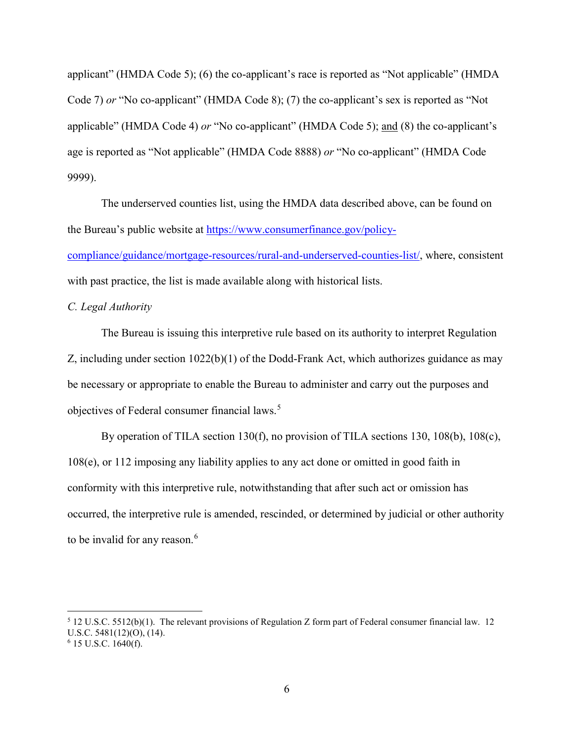applicant" (HMDA Code 5); (6) the co-applicant's race is reported as "Not applicable" (HMDA Code 7) *or* "No co-applicant" (HMDA Code 8); (7) the co-applicant's sex is reported as "Not applicable" (HMDA Code 4) *or* "No co-applicant" (HMDA Code 5); and (8) the co-applicant's age is reported as "Not applicable" (HMDA Code 8888) *or* "No co-applicant" (HMDA Code 9999).

The underserved counties list, using the HMDA data described above, can be found on the Bureau's public website at [https://www.consumerfinance.gov/policy](https://www.consumerfinance.gov/policy-compliance/guidance/mortgage-resources/rural-and-underserved-counties-list/)[compliance/guidance/mortgage-resources/rural-and-underserved-counties-list/,](https://www.consumerfinance.gov/policy-compliance/guidance/mortgage-resources/rural-and-underserved-counties-list/) where, consistent with past practice, the list is made available along with historical lists.

## *C. Legal Authority*

The Bureau is issuing this interpretive rule based on its authority to interpret Regulation Z, including under section 1022(b)(1) of the Dodd-Frank Act, which authorizes guidance as may be necessary or appropriate to enable the Bureau to administer and carry out the purposes and objectives of Federal consumer financial laws.<sup>[5](#page-5-0)</sup>

By operation of TILA section 130(f), no provision of TILA sections 130, 108(b), 108(c), 108(e), or 112 imposing any liability applies to any act done or omitted in good faith in conformity with this interpretive rule, notwithstanding that after such act or omission has occurred, the interpretive rule is amended, rescinded, or determined by judicial or other authority to be invalid for any reason.<sup>[6](#page-5-1)</sup>

<span id="page-5-0"></span> <sup>5</sup> 12 U.S.C. 5512(b)(1). The relevant provisions of Regulation Z form part of Federal consumer financial law. 12 U.S.C. 5481(12)(O), (14).

<span id="page-5-1"></span> $6$  15 U.S.C. 1640(f).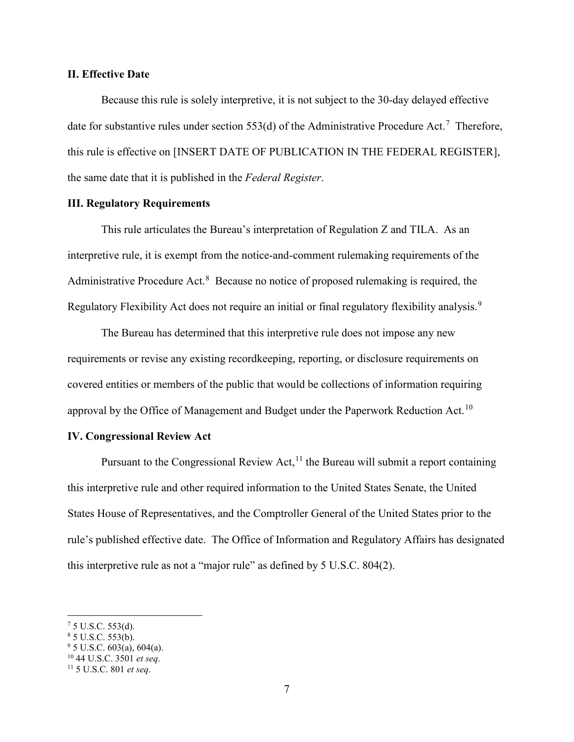### **II. Effective Date**

Because this rule is solely interpretive, it is not subject to the 30-day delayed effective date for substantive rules under section 553(d) of the Administrative Procedure Act.<sup>[7](#page-6-0)</sup> Therefore, this rule is effective on [INSERT DATE OF PUBLICATION IN THE FEDERAL REGISTER], the same date that it is published in the *Federal Register*.

# **III. Regulatory Requirements**

This rule articulates the Bureau's interpretation of Regulation Z and TILA. As an interpretive rule, it is exempt from the notice-and-comment rulemaking requirements of the Administrative Procedure Act. $8$  Because no notice of proposed rulemaking is required, the Regulatory Flexibility Act does not require an initial or final regulatory flexibility analysis.<sup>[9](#page-6-2)</sup>

The Bureau has determined that this interpretive rule does not impose any new requirements or revise any existing recordkeeping, reporting, or disclosure requirements on covered entities or members of the public that would be collections of information requiring approval by the Office of Management and Budget under the Paperwork Reduction Act.<sup>[10](#page-6-3)</sup>

#### **IV. Congressional Review Act**

Pursuant to the Congressional Review Act,  $11$  the Bureau will submit a report containing this interpretive rule and other required information to the United States Senate, the United States House of Representatives, and the Comptroller General of the United States prior to the rule's published effective date. The Office of Information and Regulatory Affairs has designated this interpretive rule as not a "major rule" as defined by 5 U.S.C. 804(2).

<span id="page-6-0"></span> $75$  U.S.C. 553(d).

<span id="page-6-1"></span> $85$  U.S.C. 553(b).

<span id="page-6-2"></span> $9^9$  5 U.S.C. 603(a), 604(a).

<span id="page-6-4"></span><span id="page-6-3"></span><sup>10</sup> 44 U.S.C. 3501 *et seq*. 11 5 U.S.C. 801 *et seq*.